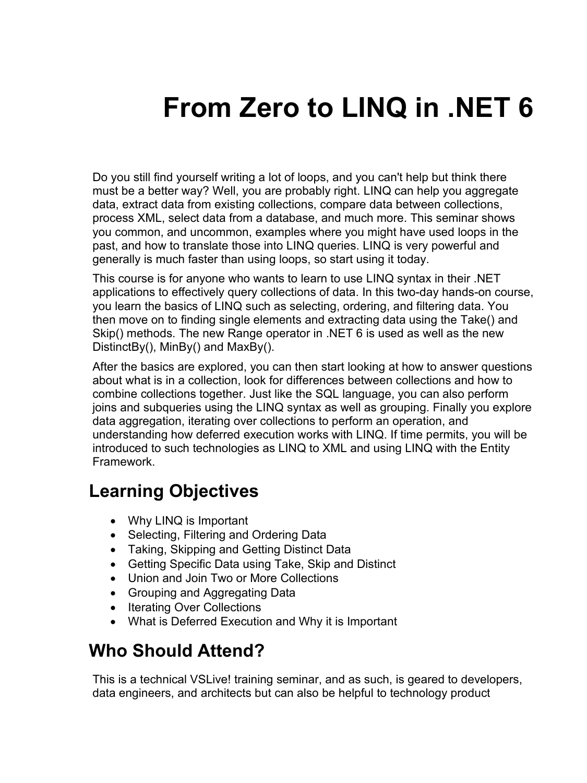# **From Zero to LINQ in .NET 6**

Do you still find yourself writing a lot of loops, and you can't help but think there must be a better way? Well, you are probably right. LINQ can help you aggregate data, extract data from existing collections, compare data between collections, process XML, select data from a database, and much more. This seminar shows you common, and uncommon, examples where you might have used loops in the past, and how to translate those into LINQ queries. LINQ is very powerful and generally is much faster than using loops, so start using it today.

This course is for anyone who wants to learn to use LINQ syntax in their .NET applications to effectively query collections of data. In this two-day hands-on course, you learn the basics of LINQ such as selecting, ordering, and filtering data. You then move on to finding single elements and extracting data using the Take() and Skip() methods. The new Range operator in .NET 6 is used as well as the new DistinctBy(), MinBy() and MaxBy().

After the basics are explored, you can then start looking at how to answer questions about what is in a collection, look for differences between collections and how to combine collections together. Just like the SQL language, you can also perform joins and subqueries using the LINQ syntax as well as grouping. Finally you explore data aggregation, iterating over collections to perform an operation, and understanding how deferred execution works with LINQ. If time permits, you will be introduced to such technologies as LINQ to XML and using LINQ with the Entity Framework.

#### **Learning Objectives**

- Why LINQ is Important
- Selecting, Filtering and Ordering Data
- Taking, Skipping and Getting Distinct Data
- Getting Specific Data using Take, Skip and Distinct
- Union and Join Two or More Collections
- Grouping and Aggregating Data
- Iterating Over Collections
- What is Deferred Execution and Why it is Important

### **Who Should Attend?**

This is a technical VSLive! training seminar, and as such, is geared to developers, data engineers, and architects but can also be helpful to technology product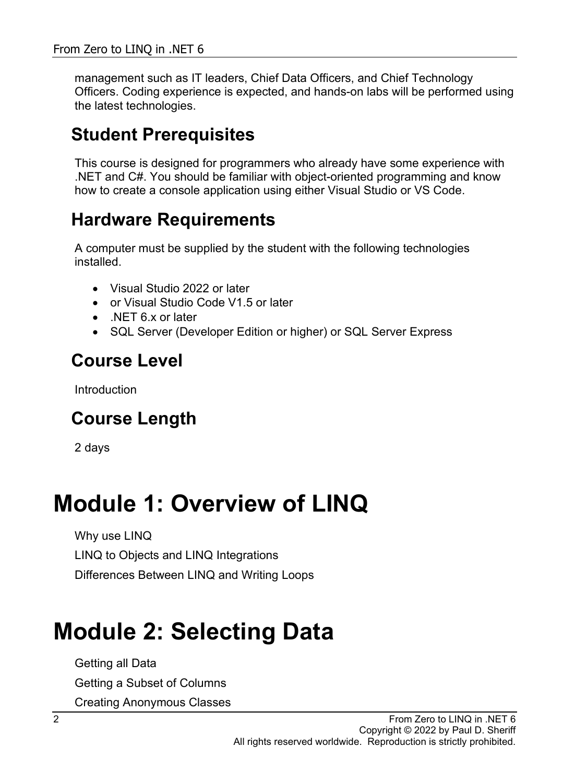management such as IT leaders, Chief Data Officers, and Chief Technology Officers. Coding experience is expected, and hands-on labs will be performed using the latest technologies.

#### **Student Prerequisites**

This course is designed for programmers who already have some experience with .NET and C#. You should be familiar with object-oriented programming and know how to create a console application using either Visual Studio or VS Code.

#### **Hardware Requirements**

A computer must be supplied by the student with the following technologies installed.

- Visual Studio 2022 or later
- or Visual Studio Code V1.5 or later
- NET 6 x or later
- SQL Server (Developer Edition or higher) or SQL Server Express

#### **Course Level**

Introduction

### **Course Length**

2 days

### **Module 1: Overview of LINQ**

Why use LINQ LINQ to Objects and LINQ Integrations Differences Between LINQ and Writing Loops

# **Module 2: Selecting Data**

Getting all Data

Getting a Subset of Columns

Creating Anonymous Classes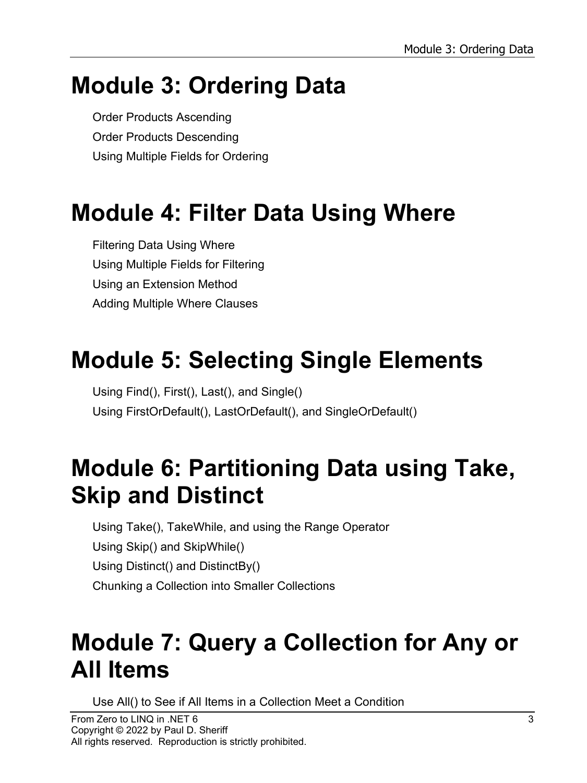# **Module 3: Ordering Data**

Order Products Ascending Order Products Descending Using Multiple Fields for Ordering

# **Module 4: Filter Data Using Where**

Filtering Data Using Where Using Multiple Fields for Filtering Using an Extension Method Adding Multiple Where Clauses

# **Module 5: Selecting Single Elements**

Using Find(), First(), Last(), and Single() Using FirstOrDefault(), LastOrDefault(), and SingleOrDefault()

# **Module 6: Partitioning Data using Take, Skip and Distinct**

Using Take(), TakeWhile, and using the Range Operator Using Skip() and SkipWhile() Using Distinct() and DistinctBy() Chunking a Collection into Smaller Collections

# **Module 7: Query a Collection for Any or All Items**

Use All() to See if All Items in a Collection Meet a Condition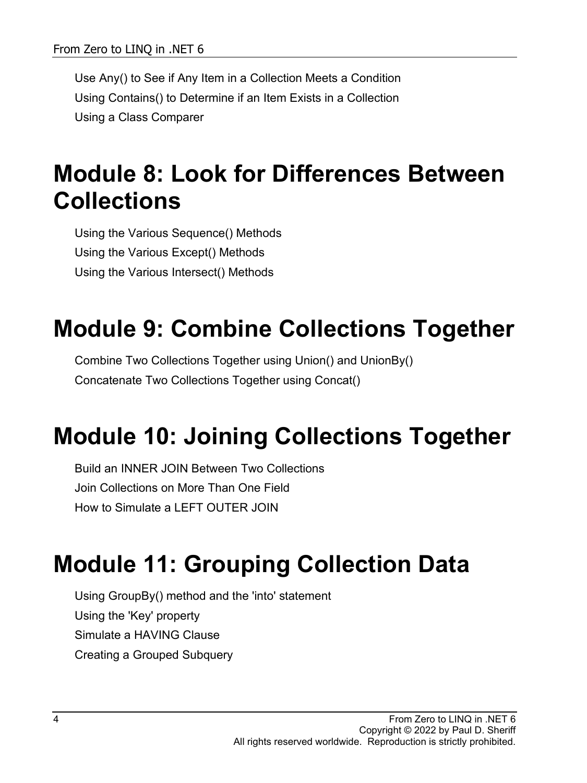Use Any() to See if Any Item in a Collection Meets a Condition Using Contains() to Determine if an Item Exists in a Collection Using a Class Comparer

### **Module 8: Look for Differences Between Collections**

Using the Various Sequence() Methods Using the Various Except() Methods Using the Various Intersect() Methods

# **Module 9: Combine Collections Together**

Combine Two Collections Together using Union() and UnionBy() Concatenate Two Collections Together using Concat()

# **Module 10: Joining Collections Together**

Build an INNER JOIN Between Two Collections Join Collections on More Than One Field How to Simulate a LEFT OUTER JOIN

# **Module 11: Grouping Collection Data**

Using GroupBy() method and the 'into' statement Using the 'Key' property Simulate a HAVING Clause Creating a Grouped Subquery